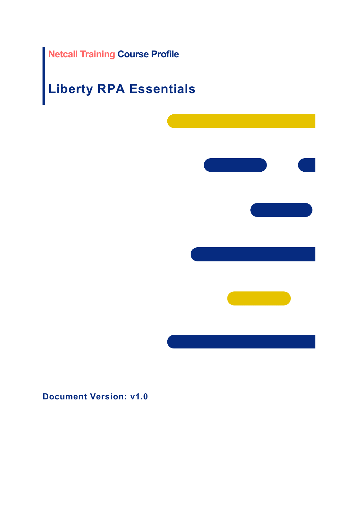# **Netcall Training Course Profile**

# **Liberty RPA Essentials**



**Document Version: v1.0**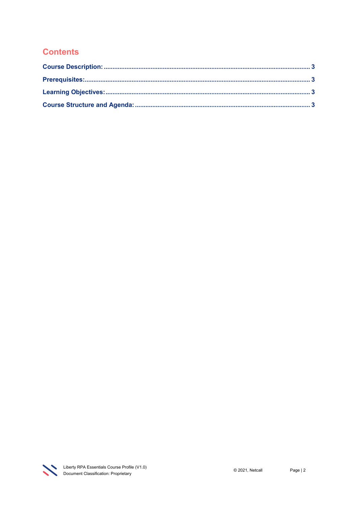# **Contents**